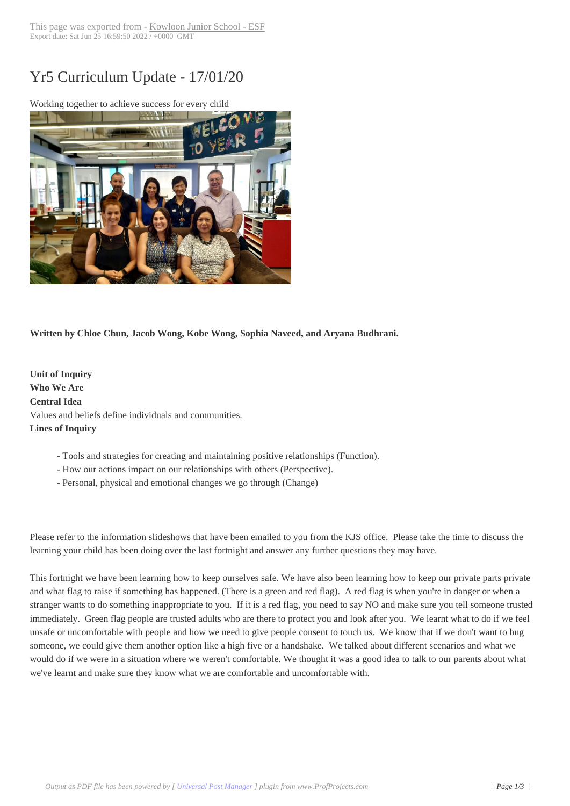## Yr5 Curriculum U[pdate - 17/01/20](https://www.kjs.edu.hk/?p=23154)



**Written by Chloe Chun, Jacob Wong, Kobe Wong, Sophia Naveed, and Aryana Budhrani.**

**Unit of Inquiry Who We Are Central Idea** Values and beliefs define individuals and communities. **Lines of Inquiry**

- Tools and strategies for creating and maintaining positive relationships (Function).
- How our actions impact on our relationships with others (Perspective).
- Personal, physical and emotional changes we go through (Change)

Please refer to the information slideshows that have been emailed to you from the KJS office. Please take the time to discuss the learning your child has been doing over the last fortnight and answer any further questions they may have.

This fortnight we have been learning how to keep ourselves safe. We have also been learning how to keep our private parts private and what flag to raise if something has happened. (There is a green and red flag). A red flag is when you're in danger or when a stranger wants to do something inappropriate to you. If it is a red flag, you need to say NO and make sure you tell someone trusted immediately. Green flag people are trusted adults who are there to protect you and look after you. We learnt what to do if we feel unsafe or uncomfortable with people and how we need to give people consent to touch us. We know that if we don't want to hug someone, we could give them another option like a high five or a handshake. We talked about different scenarios and what we would do if we were in a situation where we weren't comfortable. We thought it was a good idea to talk to our parents about what we've learnt and make sure they know what we are comfortable and uncomfortable with.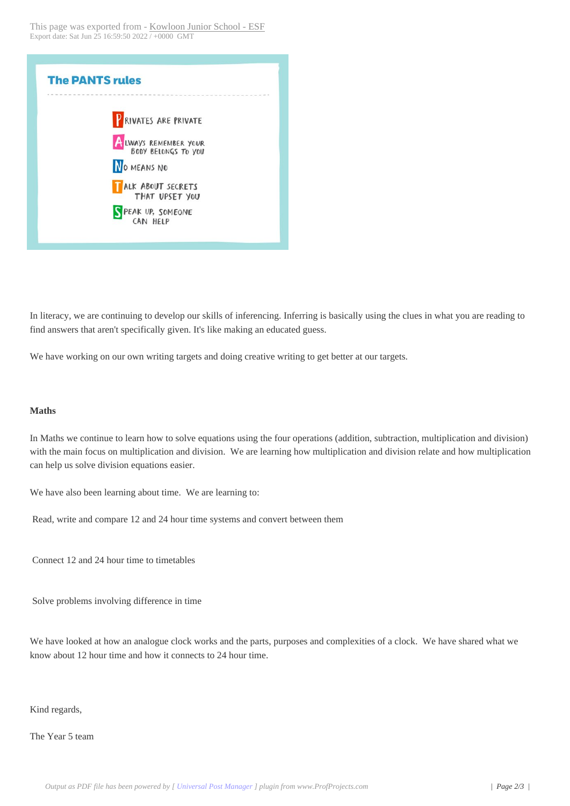## **The PANTS rules P** RIVATES ARE PRIVATE LWAYS REMEMBER YOUR BODY BELONGS TO YOU NO MEANS NO **TALK ABOUT SECRETS** THAT UPSET YOU PEAK UP, SOMEONE CAN HELP

In literacy, we are continuing to develop our skills of inferencing. Inferring is basically using the clues in what you are reading to find answers that aren't specifically given. It's like making an educated guess.

We have working on our own writing targets and doing creative writing to get better at our targets.

## **Maths**

In Maths we continue to learn how to solve equations using the four operations (addition, subtraction, multiplication and division) with the main focus on multiplication and division. We are learning how multiplication and division relate and how multiplication can help us solve division equations easier.

We have also been learning about time. We are learning to:

 Read, write and compare 12 and 24 hour time systems and convert between them

 Connect 12 and 24 hour time to timetables

 Solve problems involving difference in time

We have looked at how an analogue clock works and the parts, purposes and complexities of a clock. We have shared what we know about 12 hour time and how it connects to 24 hour time.

Kind regards,

The Year 5 team